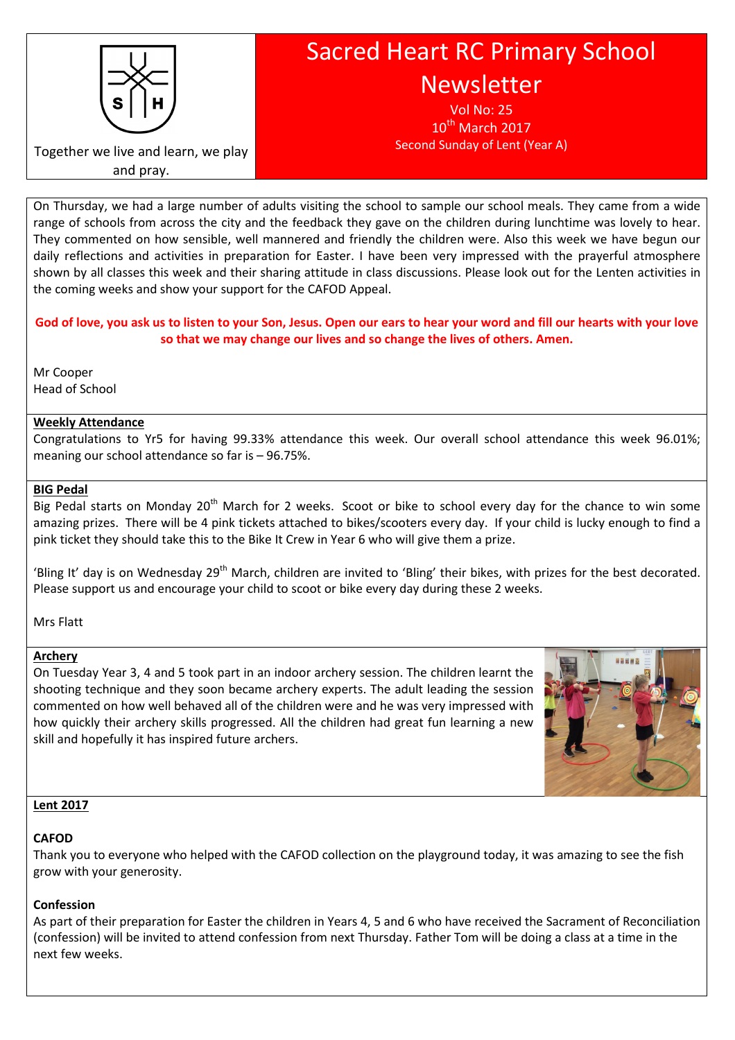

# Sacred Heart RC Primary School Newsletter

Vol No: 25  $10<sup>th</sup>$  March 2017 Second Sunday of Lent (Year A)

Together we live and learn, we play and pray.

On Thursday, we had a large number of adults visiting the school to sample our school meals. They came from a wide range of schools from across the city and the feedback they gave on the children during lunchtime was lovely to hear. They commented on how sensible, well mannered and friendly the children were. Also this week we have begun our daily reflections and activities in preparation for Easter. I have been very impressed with the prayerful atmosphere shown by all classes this week and their sharing attitude in class discussions. Please look out for the Lenten activities in the coming weeks and show your support for the CAFOD Appeal.

# God of love, you ask us to listen to your Son, Jesus. Open our ears to hear your word and fill our hearts with your love so that we may change our lives and so change the lives of others. Amen.

Mr Cooper Head of School

# Weekly Attendance

Congratulations to Yr5 for having 99.33% attendance this week. Our overall school attendance this week 96.01%; meaning our school attendance so far is – 96.75%.

#### BIG Pedal

Big Pedal starts on Monday 20<sup>th</sup> March for 2 weeks. Scoot or bike to school every day for the chance to win some amazing prizes. There will be 4 pink tickets attached to bikes/scooters every day. If your child is lucky enough to find a pink ticket they should take this to the Bike It Crew in Year 6 who will give them a prize.

'Bling It' day is on Wednesday 29<sup>th</sup> March, children are invited to 'Bling' their bikes, with prizes for the best decorated. Please support us and encourage your child to scoot or bike every day during these 2 weeks.

Mrs Flatt

# Archery

On Tuesday Year 3, 4 and 5 took part in an indoor archery session. The children learnt the shooting technique and they soon became archery experts. The adult leading the session commented on how well behaved all of the children were and he was very impressed with how quickly their archery skills progressed. All the children had great fun learning a new skill and hopefully it has inspired future archers.



# Lent 2017

# CAFOD

Thank you to everyone who helped with the CAFOD collection on the playground today, it was amazing to see the fish grow with your generosity.

# Confession

As part of their preparation for Easter the children in Years 4, 5 and 6 who have received the Sacrament of Reconciliation (confession) will be invited to attend confession from next Thursday. Father Tom will be doing a class at a time in the next few weeks.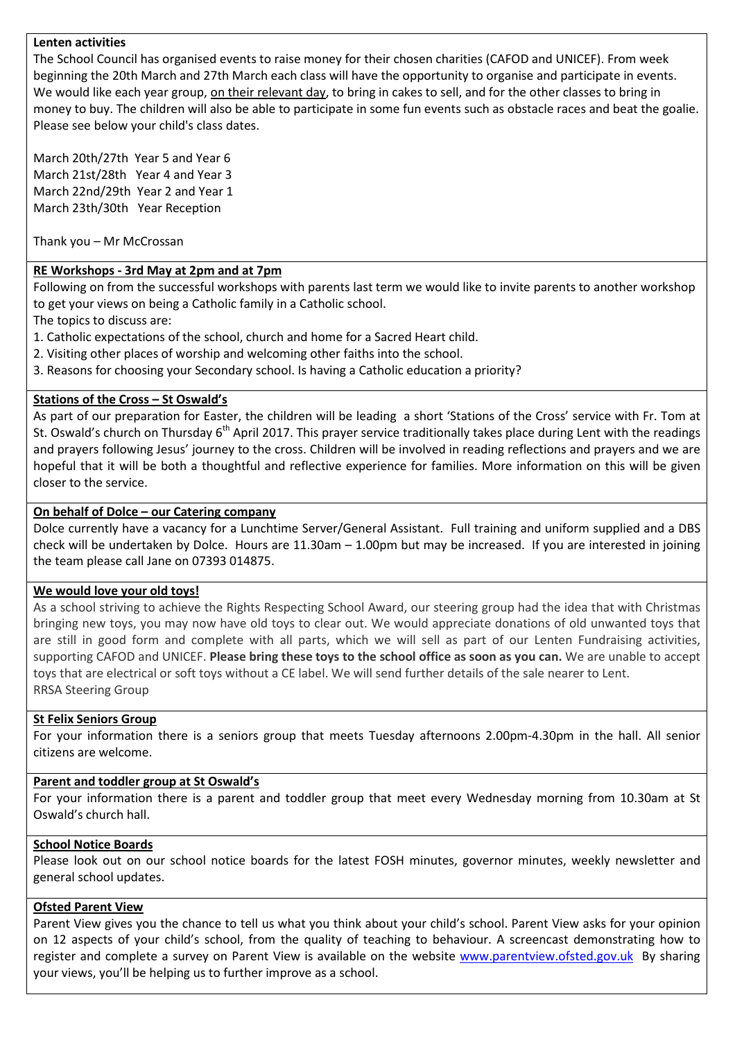#### Lenten activities

The School Council has organised events to raise money for their chosen charities (CAFOD and UNICEF). From week beginning the 20th March and 27th March each class will have the opportunity to organise and participate in events. We would like each year group, on their relevant day, to bring in cakes to sell, and for the other classes to bring in money to buy. The children will also be able to participate in some fun events such as obstacle races and beat the goalie. Please see below your child's class dates.

March 20th/27th Year 5 and Year 6 March 21st/28th Year 4 and Year 3 March 22nd/29th Year 2 and Year 1 March 23th/30th Year Reception

Thank you – Mr McCrossan

#### RE Workshops - 3rd May at 2pm and at 7pm

Following on from the successful workshops with parents last term we would like to invite parents to another workshop to get your views on being a Catholic family in a Catholic school.

The topics to discuss are:

- 1. Catholic expectations of the school, church and home for a Sacred Heart child.
- 2. Visiting other places of worship and welcoming other faiths into the school.
- 3. Reasons for choosing your Secondary school. Is having a Catholic education a priority?

#### Stations of the Cross – St Oswald's

As part of our preparation for Easter, the children will be leading a short 'Stations of the Cross' service with Fr. Tom at St. Oswald's church on Thursday  $6<sup>th</sup>$  April 2017. This prayer service traditionally takes place during Lent with the readings and prayers following Jesus' journey to the cross. Children will be involved in reading reflections and prayers and we are hopeful that it will be both a thoughtful and reflective experience for families. More information on this will be given closer to the service.

#### On behalf of Dolce – our Catering company

Dolce currently have a vacancy for a Lunchtime Server/General Assistant. Full training and uniform supplied and a DBS check will be undertaken by Dolce. Hours are 11.30am – 1.00pm but may be increased. If you are interested in joining the team please call Jane on 07393 014875.

#### We would love your old toys!

As a school striving to achieve the Rights Respecting School Award, our steering group had the idea that with Christmas bringing new toys, you may now have old toys to clear out. We would appreciate donations of old unwanted toys that are still in good form and complete with all parts, which we will sell as part of our Lenten Fundraising activities, supporting CAFOD and UNICEF. Please bring these toys to the school office as soon as you can. We are unable to accept toys that are electrical or soft toys without a CE label. We will send further details of the sale nearer to Lent. RRSA Steering Group

#### St Felix Seniors Group

For your information there is a seniors group that meets Tuesday afternoons 2.00pm-4.30pm in the hall. All senior citizens are welcome.

# Parent and toddler group at St Oswald's

For your information there is a parent and toddler group that meet every Wednesday morning from 10.30am at St Oswald's church hall.

#### School Notice Boards

Please look out on our school notice boards for the latest FOSH minutes, governor minutes, weekly newsletter and general school updates.

#### Ofsted Parent View

Parent View gives you the chance to tell us what you think about your child's school. Parent View asks for your opinion on 12 aspects of your child's school, from the quality of teaching to behaviour. A screencast demonstrating how to register and complete a survey on Parent View is available on the website www.parentview.ofsted.gov.uk By sharing your views, you'll be helping us to further improve as a school.